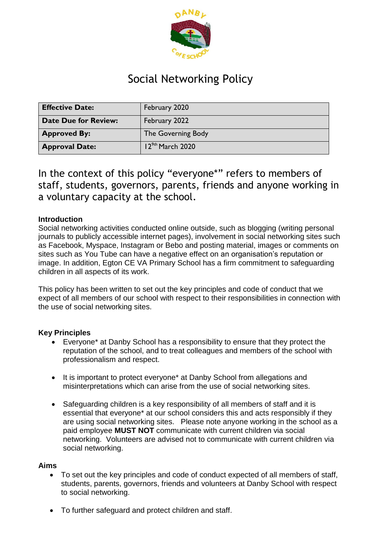

# Social Networking Policy

| <b>Effective Date:</b>      | February 2020         |
|-----------------------------|-----------------------|
| <b>Date Due for Review:</b> | February 2022         |
| <b>Approved By:</b>         | The Governing Body    |
| <b>Approval Date:</b>       | $12^{9th}$ March 2020 |

In the context of this policy "everyone\*" refers to members of staff, students, governors, parents, friends and anyone working in a voluntary capacity at the school.

### **Introduction**

Social networking activities conducted online outside, such as blogging (writing personal journals to publicly accessible internet pages), involvement in social networking sites such as Facebook, Myspace, Instagram or Bebo and posting material, images or comments on sites such as You Tube can have a negative effect on an organisation's reputation or image. In addition, Egton CE VA Primary School has a firm commitment to safeguarding children in all aspects of its work.

This policy has been written to set out the key principles and code of conduct that we expect of all members of our school with respect to their responsibilities in connection with the use of social networking sites.

#### **Key Principles**

- Everyone\* at Danby School has a responsibility to ensure that they protect the reputation of the school, and to treat colleagues and members of the school with professionalism and respect.
- It is important to protect everyone\* at Danby School from allegations and misinterpretations which can arise from the use of social networking sites.
- Safeguarding children is a key responsibility of all members of staff and it is essential that everyone\* at our school considers this and acts responsibly if they are using social networking sites. Please note anyone working in the school as a paid employee **MUST NOT** communicate with current children via social networking. Volunteers are advised not to communicate with current children via social networking.

#### **Aims**

- To set out the key principles and code of conduct expected of all members of staff, students, parents, governors, friends and volunteers at Danby School with respect to social networking.
- To further safeguard and protect children and staff.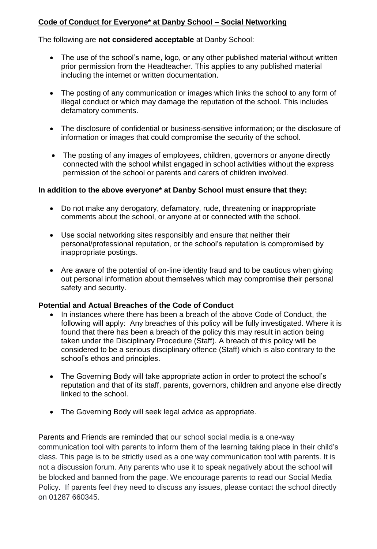## **Code of Conduct for Everyone\* at Danby School – Social Networking**

The following are **not considered acceptable** at Danby School:

- The use of the school's name, logo, or any other published material without written prior permission from the Headteacher. This applies to any published material including the internet or written documentation.
- The posting of any communication or images which links the school to any form of illegal conduct or which may damage the reputation of the school. This includes defamatory comments.
- The disclosure of confidential or business-sensitive information; or the disclosure of information or images that could compromise the security of the school.
- The posting of any images of employees, children, governors or anyone directly connected with the school whilst engaged in school activities without the express permission of the school or parents and carers of children involved.

#### **In addition to the above everyone\* at Danby School must ensure that they:**

- Do not make any derogatory, defamatory, rude, threatening or inappropriate comments about the school, or anyone at or connected with the school.
- Use social networking sites responsibly and ensure that neither their personal/professional reputation, or the school's reputation is compromised by inappropriate postings.
- Are aware of the potential of on-line identity fraud and to be cautious when giving out personal information about themselves which may compromise their personal safety and security.

#### **Potential and Actual Breaches of the Code of Conduct**

- In instances where there has been a breach of the above Code of Conduct, the following will apply: Any breaches of this policy will be fully investigated. Where it is found that there has been a breach of the policy this may result in action being taken under the Disciplinary Procedure (Staff). A breach of this policy will be considered to be a serious disciplinary offence (Staff) which is also contrary to the school's ethos and principles.
- The Governing Body will take appropriate action in order to protect the school's reputation and that of its staff, parents, governors, children and anyone else directly linked to the school.
- The Governing Body will seek legal advice as appropriate.

Parents and Friends are reminded that our school social media is a one-way communication tool with parents to inform them of the learning taking place in their child's class. This page is to be strictly used as a one way communication tool with parents. It is not a discussion forum. Any parents who use it to speak negatively about the school will be blocked and banned from the page. We encourage parents to read our Social Media Policy. If parents feel they need to discuss any issues, please contact the school directly on 01287 660345.